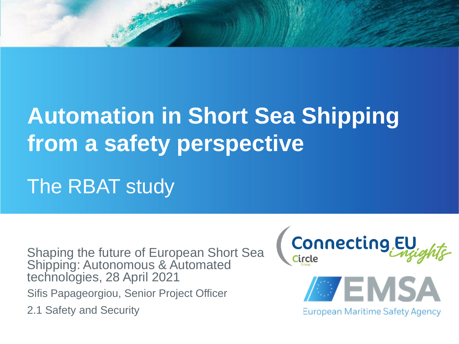# **Automation in Short Sea Shipping from a safety perspective**

The RBAT study

Sifis Papageorgiou, Senior Project Officer 2.1 Safety and Security Shaping the future of European Short Sea Shipping: Autonomous & Automated technologies, 28 April 2021



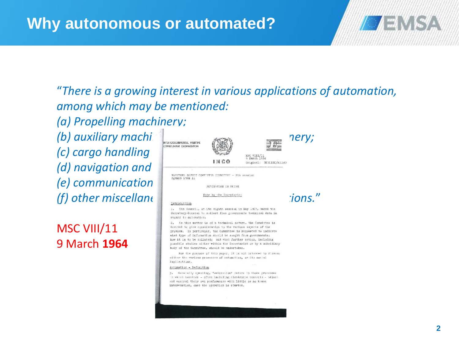"*There is a growing interest in various applications of automation, among which may be mentioned:*

*(a) Propelling machinery;*

(b) auxiliary machi<sup>ner</sup> **including deck mathematical machinery** ( *(c) cargo handling* and cargo *preservation*; *(d) navigation and* direction and direction and direction of the second direction of  $\sim$ *(e) communication (f)* other miscellane  $\left| \begin{array}{cc} \frac{1}{2} & \frac{1}{2} & \frac{1}{2} & \frac{1}{2} & \frac{1}{2} & \frac{1}{2} & \frac{1}{2} & \frac{1}{2} & \frac{1}{2} & \frac{1}{2} & \frac{1}{2} & \frac{1}{2} & \frac{1}{2} & \frac{1}{2} & \frac{1}{2} & \frac{1}{2} & \frac{1}{2} & \frac{1}{2} & \frac{1}{2} & \frac{1}{2} & \frac{1}{2} & \frac{1}{2} & \frac{1}{2} & \frac{$ 

MSC VIII/11 9 March **1964**





AUTOMATION IN SEIPS

1. The Council, at its eighth session in May 1963, asked the Secretary-General to collect from governments technical data in regard to automation.

2. As this matter is of a technical nature, the Committee is invited to give consideration to the various aspects of the problem. In particular, the Committee is requested to indicate what type of information should be sought from governments; how it is to be collated; and what further action, including possible studies either within the Secretariat or by a subsidiary body of the Committee, should be undertaken.

For the purpose of this paper, it is not intended to discuss either the various processes of automatics, or its social immlications.

#### Automation - Definition

5. Generally speaking, "automation" refers to those processes In which machines - often including electronic controls - adjust and control their own performance with little or no human intervention, once the operation is started.



WAENSA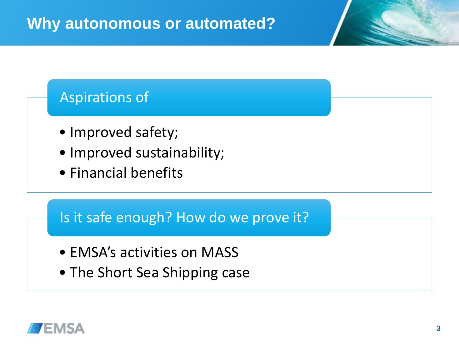#### Aspirations of

- Improved safety;
- Improved sustainability;
- Financial benefits

#### Is it safe enough? How do we prove it?

- EMSA's activities on MASS
- The Short Sea Shipping case

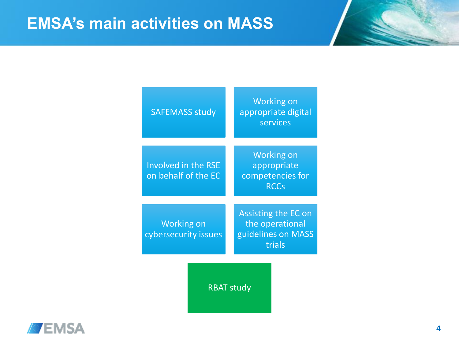| <b>SAFEMASS study</b>                             | <b>Working on</b><br>appropriate digital<br>services                   |
|---------------------------------------------------|------------------------------------------------------------------------|
|                                                   |                                                                        |
| <b>Involved in the RSE</b><br>on behalf of the EC | <b>Working on</b><br>appropriate<br>competencies for<br><b>RCCs</b>    |
|                                                   |                                                                        |
| <b>Working on</b><br>cybersecurity issues         | Assisting the EC on<br>the operational<br>guidelines on MASS<br>trials |
| <b>RBAT study</b>                                 |                                                                        |

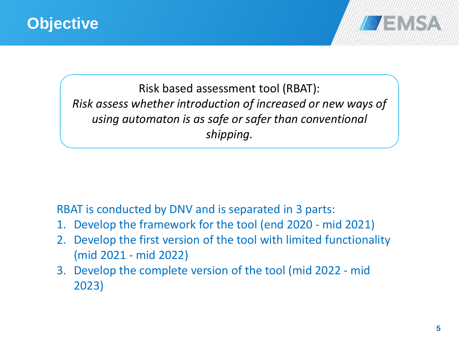

Risk based assessment tool (RBAT): *Risk assess whether introduction of increased or new ways of using automaton is as safe or safer than conventional shipping.*

RBAT is conducted by DNV and is separated in 3 parts:

- 1. Develop the framework for the tool (end 2020 mid 2021)
- 2. Develop the first version of the tool with limited functionality (mid 2021 - mid 2022)
- 3. Develop the complete version of the tool (mid 2022 mid 2023)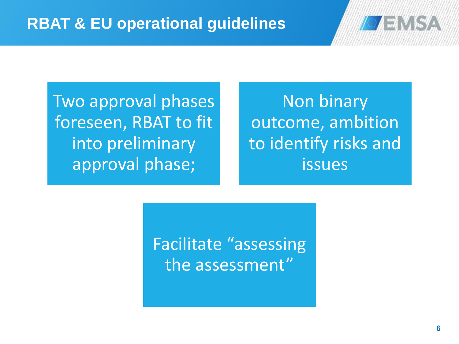

Two approval phases foreseen, RBAT to fit into preliminary approval phase;

Non binary outcome, ambition to identify risks and issues

Facilitate "assessing the assessment"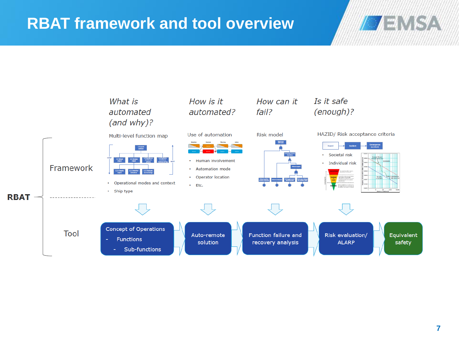## **RBAT framework and tool overview**



**EMSA**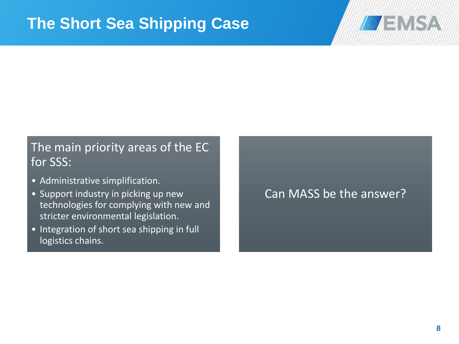

#### The main priority areas of the EC for SSS:

- Administrative simplification.
- Support industry in picking up new technologies for complying with new and stricter environmental legislation.
- Integration of short sea shipping in full logistics chains.

#### Can MASS be the answer?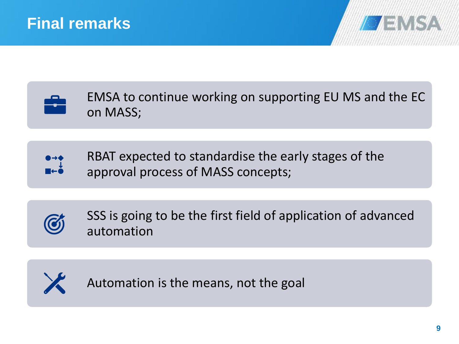



EMSA to continue working on supporting EU MS and the EC on MASS;



RBAT expected to standardise the early stages of the approval process of MASS concepts;



SSS is going to be the first field of application of advanced automation



Automation is the means, not the goal